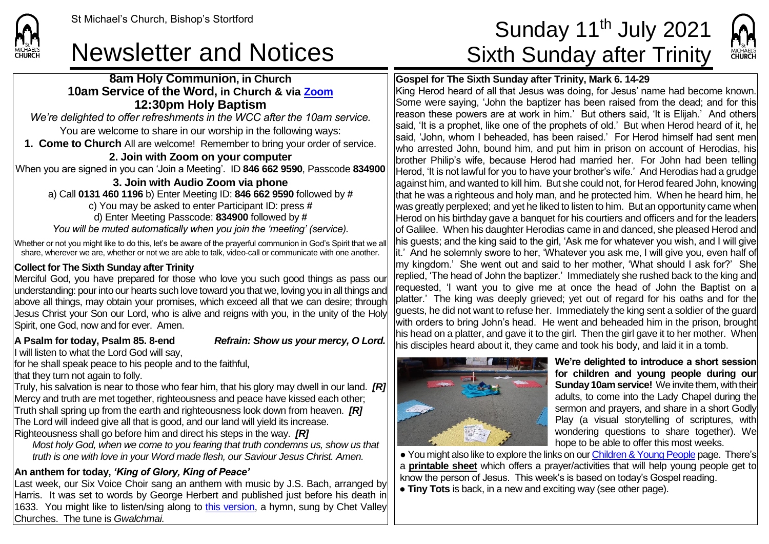## Newsletter and Notices Sixth Sunday after Trinity

#### **8am Holy Communion, in Church 10am Service of the Word, in Church & via [Zoom](https://zoom.us/) 12:30pm Holy Baptism**

*We're delighted to offer refreshments in the WCC after the 10am service.* You are welcome to share in our worship in the following ways: **1. Come to Church** All are welcome! Remember to bring your order of service.

#### **2. Join with Zoom on your computer**

When you are signed in you can 'Join a Meeting'. ID **846 662 9590**, Passcode **834900**

**3. Join with Audio Zoom via phone**  a) Call **0131 460 1196** b) Enter Meeting ID: **846 662 9590** followed by **#** c) You may be asked to enter Participant ID: press **#** d) Enter Meeting Passcode: **834900** followed by **#** *You will be muted automatically when you join the 'meeting' (service).*

Whether or not you might like to do this, let's be aware of the prayerful communion in God's Spirit that we all share, wherever we are, whether or not we are able to talk, video-call or communicate with one another.

#### **Collect for The Sixth Sunday after Trinity**

Merciful God, you have prepared for those who love you such good things as pass our understanding: pour into our hearts such love toward you that we, loving you in all things and above all things, may obtain your promises, which exceed all that we can desire; through Jesus Christ your Son our Lord, who is alive and reigns with you, in the unity of the Holy Spirit, one God, now and for ever. Amen.

#### **A Psalm for today, Psalm 85. 8-end** *Refrain: Show us your mercy, O Lord.*

If will listen to what the Lord God will say.

for he shall speak peace to his people and to the faithful,

that they turn not again to folly.

**CHURCH** 

Truly, his salvation is near to those who fear him, that his glory may dwell in our land. *[R]* Mercy and truth are met together, righteousness and peace have kissed each other; Truth shall spring up from the earth and righteousness look down from heaven. *[R]* The Lord will indeed give all that is good, and our land will yield its increase. Righteousness shall go before him and direct his steps in the way. *[R]*

*Most holy God, when we come to you fearing that truth condemns us, show us that truth is one with love in your Word made flesh, our Saviour Jesus Christ. Amen.*

#### **An anthem for today,** *'King of Glory, King of Peace'*

Last week, our Six Voice Choir sang an anthem with music by J.S. Bach, arranged by Harris. It was set to words by George Herbert and published just before his death in 1633. You might like to listen/sing along to [this version,](https://www.youtube.com/watch?v=ikj7CiC7v0U) a hymn, sung by Chet Valley Churches. The tune is *Gwalchmai.*

# St Michael's Church, Bishop's Stortford **Sunday 11<sup>th</sup> July 2021**



### **Gospel for The Sixth Sunday after Trinity, Mark 6. 14-29**

King Herod heard of all that Jesus was doing, for Jesus' name had become known. Some were saying, 'John the baptizer has been raised from the dead; and for this reason these powers are at work in him.' But others said, 'It is Elijah.' And others said, 'It is a prophet, like one of the prophets of old.' But when Herod heard of it, he said, 'John, whom I beheaded, has been raised.' For Herod himself had sent men who arrested John, bound him, and put him in prison on account of Herodias, his brother Philip's wife, because Herod had married her. For John had been telling Herod, 'It is not lawful for you to have your brother's wife.' And Herodias had a grudge against him, and wanted to kill him. But she could not, for Herod feared John, knowing that he was a righteous and holy man, and he protected him. When he heard him, he was greatly perplexed; and yet he liked to listen to him. But an opportunity came when Herod on his birthday gave a banquet for his courtiers and officers and for the leaders of Galilee. When his daughter Herodias came in and danced, she pleased Herod and his guests; and the king said to the girl, 'Ask me for whatever you wish, and I will give it.' And he solemnly swore to her, 'Whatever you ask me, I will give you, even half of my kingdom.' She went out and said to her mother, 'What should I ask for?' She replied, 'The head of John the baptizer.' Immediately she rushed back to the king and requested, 'I want you to give me at once the head of John the Baptist on a platter.' The king was deeply grieved; yet out of regard for his oaths and for the  $\alpha$  auests, he did not want to refuse her. Immediately the king sent a soldier of the guard with orders to bring John's head. He went and beheaded him in the prison, brought his head on a platter, and gave it to the girl. Then the girl gave it to her mother. When his disciples heard about it, they came and took his body, and laid it in a tomb.



We're delighted to introduce a short session for children and young people during our **Sunday 10am service!** We invite them, with their adults, to come into the Lady Chapel during the sermon and prayers, and share in a short Godly Play (a visual storytelling of scriptures, with wondering questions to share together). We hope to be able to offer this most weeks.

● You might also like to explore the links on ou[r Children & Young People](https://saintmichaelweb.org.uk/Groups/310496/Children_and_Young.aspx) page. There's a **[printable sheet](https://saintmichaelweb.org.uk/Groups/310496/Children_and_Young.aspx)** which offers a prayer/activities that will help young people get to know the person of Jesus. This week's is based on today's Gospel reading.

● **Tiny Tots** is back, in a new and exciting way (see other page).